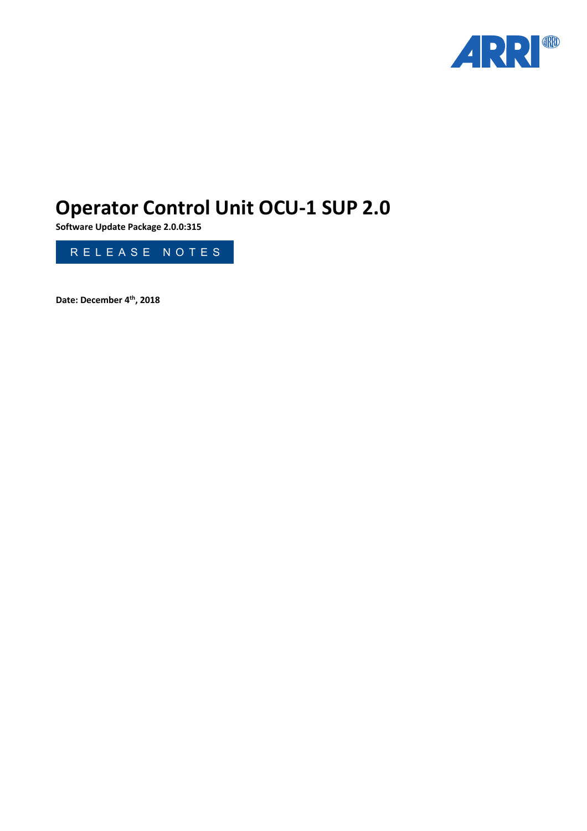

# **Operator Control Unit OCU-1 SUP 2.0**

**Software Update Package 2.0.0:315**



**Date: December 4th, 2018**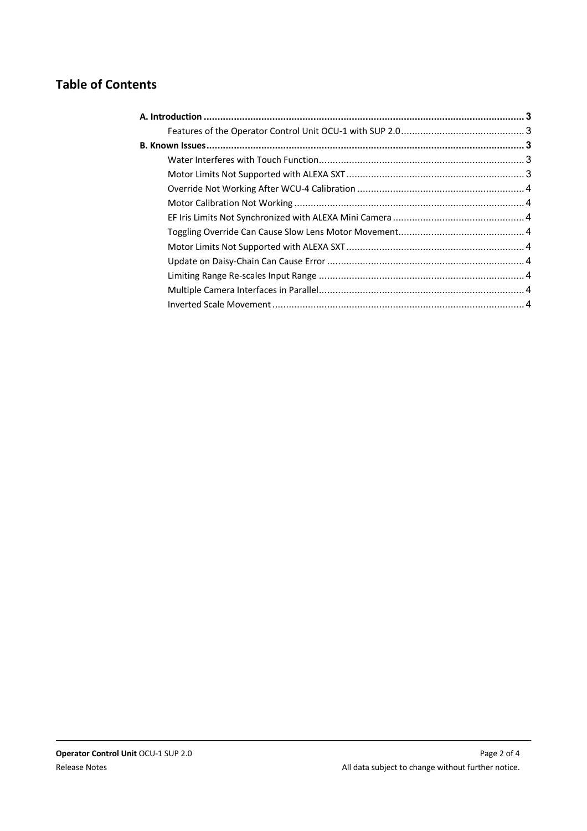## **Table of Contents**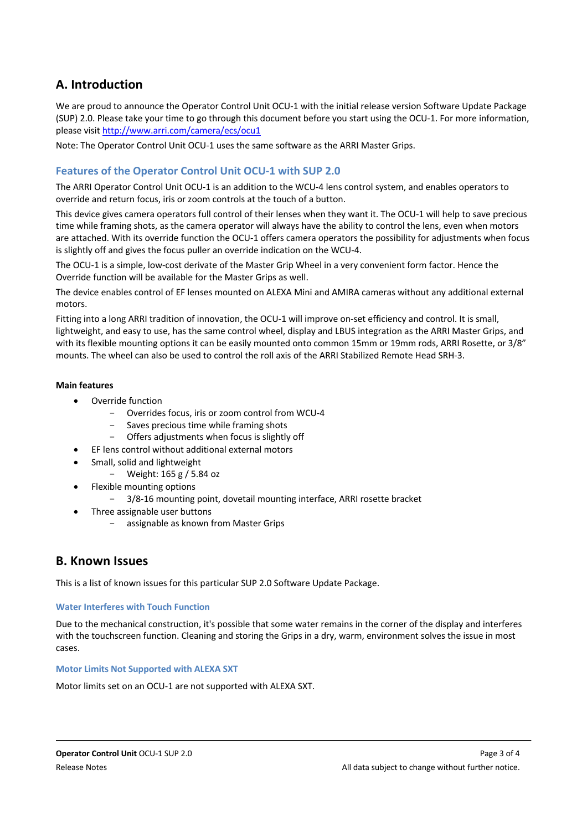## <span id="page-2-0"></span>**A. Introduction**

We are proud to announce the Operator Control Unit OCU-1 with the initial release version Software Update Package (SUP) 2.0. Please take your time to go through this document before you start using the OCU-1. For more information, please visit http://www.arri.com/camera/ecs/ocu1

[Note: The Operator Control Unit OC](http://www.arri.com/camera/ecs/ocu1)U-1 uses the same software as the ARRI Master Grips.

#### <span id="page-2-1"></span>**Features of the Operator Control Unit OCU-1 with SUP 2.0**

The ARRI Operator Control Unit OCU-1 is an addition to the WCU-4 lens control system, and enables operators to override and return focus, iris or zoom controls at the touch of a button.

This device gives camera operators full control of their lenses when they want it. The OCU-1 will help to save precious time while framing shots, as the camera operator will always have the ability to control the lens, even when motors are attached. With its override function the OCU-1 offers camera operators the possibility for adjustments when focus is slightly off and gives the focus puller an override indication on the WCU-4.

The OCU-1 is a simple, low-cost derivate of the Master Grip Wheel in a very convenient form factor. Hence the Override function will be available for the Master Grips as well.

The device enables control of EF lenses mounted on ALEXA Mini and AMIRA cameras without any additional external motors.

Fitting into a long ARRI tradition of innovation, the OCU-1 will improve on-set efficiency and control. It is small, lightweight, and easy to use, has the same control wheel, display and LBUS integration as the ARRI Master Grips, and with its flexible mounting options it can be easily mounted onto common 15mm or 19mm rods, ARRI Rosette, or 3/8" mounts. The wheel can also be used to control the roll axis of the ARRI Stabilized Remote Head SRH-3.

#### **Main features**

- Override function
	- Overrides focus, iris or zoom control from WCU-4
		- Saves precious time while framing shots
	- Offers adjustments when focus is slightly off
	- EF lens control without additional external motors
- Small, solid and lightweight
	- Weight: 165 g / 5.84 oz
- Flexible mounting options
	- 3/8-16 mounting point, dovetail mounting interface, ARRI rosette bracket
	- Three assignable user buttons
		- assignable as known from Master Grips

### <span id="page-2-2"></span>**B. Known Issues**

This is a list of known issues for this particular SUP 2.0 Software Update Package.

#### <span id="page-2-3"></span>**Water Interferes with Touch Function**

Due to the mechanical construction, it's possible that some water remains in the corner of the display and interferes with the touchscreen function. Cleaning and storing the Grips in a dry, warm, environment solves the issue in most cases.

#### <span id="page-2-4"></span>**Motor Limits Not Supported with ALEXA SXT**

Motor limits set on an OCU-1 are not supported with ALEXA SXT.